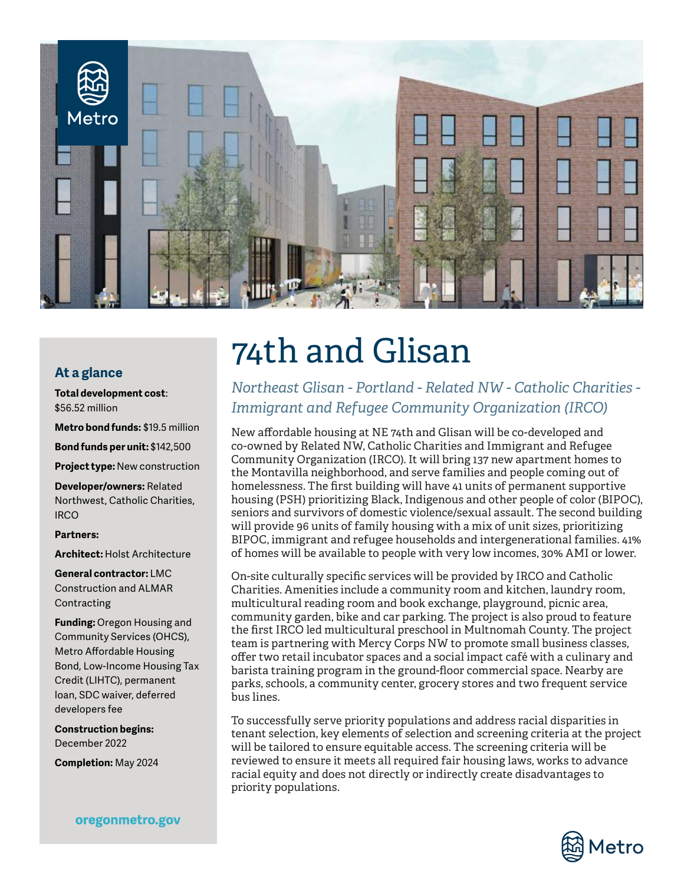

### **At a glance**

**Total development cost**: \$56.52 million

**Metro bond funds:** \$19.5 million

**Bond funds per unit:** \$142,500

**Project type:** New construction

**Developer/owners:** Related Northwest, Catholic Charities, **IRCO** 

### **Partners:**

**Architect:** Holst Architecture

**General contractor:** LMC Construction and ALMAR Contracting

**Funding:** Oregon Housing and Community Services (OHCS), Metro Affordable Housing Bond, Low-Income Housing Tax Credit (LIHTC), permanent loan, SDC waiver, deferred developers fee

**Construction begins:**  December 2022

**Completion:** May 2024

### oregonmetro.gov

# 74th and Glisan

*Northeast Glisan - Portland - Related NW - Catholic Charities - Immigrant and Refugee Community Organization (IRCO)*

New affordable housing at NE 74th and Glisan will be co-developed and co-owned by Related NW, Catholic Charities and Immigrant and Refugee Community Organization (IRCO). It will bring 137 new apartment homes to the Montavilla neighborhood, and serve families and people coming out of homelessness. The first building will have 41 units of permanent supportive housing (PSH) prioritizing Black, Indigenous and other people of color (BIPOC), seniors and survivors of domestic violence/sexual assault. The second building will provide 96 units of family housing with a mix of unit sizes, prioritizing BIPOC, immigrant and refugee households and intergenerational families. 41% of homes will be available to people with very low incomes, 30% AMI or lower.

On-site culturally specific services will be provided by IRCO and Catholic Charities. Amenities include a community room and kitchen, laundry room, multicultural reading room and book exchange, playground, picnic area, community garden, bike and car parking. The project is also proud to feature the first IRCO led multicultural preschool in Multnomah County. The project team is partnering with Mercy Corps NW to promote small business classes, offer two retail incubator spaces and a social impact café with a culinary and barista training program in the ground-floor commercial space. Nearby are parks, schools, a community center, grocery stores and two frequent service bus lines.

To successfully serve priority populations and address racial disparities in tenant selection, key elements of selection and screening criteria at the project will be tailored to ensure equitable access. The screening criteria will be reviewed to ensure it meets all required fair housing laws, works to advance racial equity and does not directly or indirectly create disadvantages to priority populations.